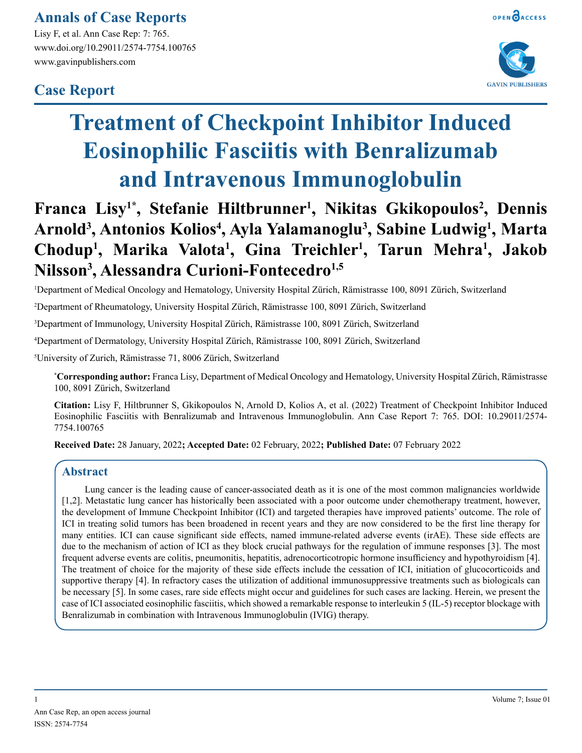### **Annals of Case Reports**

Lisy F, et al. Ann Case Rep: 7: 765. www.doi.org/10.29011/2574-7754.100765 www.gavinpublishers.com

## **Case Report**





# **Treatment of Checkpoint Inhibitor Induced Eosinophilic Fasciitis with Benralizumab and Intravenous Immunoglobulin**

## Franca Lisy<sup>1\*</sup>, Stefanie Hiltbrunner<sup>1</sup>, Nikitas Gkikopoulos<sup>2</sup>, Dennis **Arnold3 , Antonios Kolios4 , Ayla Yalamanoglu3 , Sabine Ludwig1 , Marta**  Chodup<sup>1</sup>, Marika Valota<sup>1</sup>, Gina Treichler<sup>1</sup>, Tarun Mehra<sup>1</sup>, Jakob **Nilsson3 , Alessandra Curioni-Fontecedro1,5**

1 Department of Medical Oncology and Hematology, University Hospital Zürich, Rämistrasse 100, 8091 Zürich, Switzerland

2 Department of Rheumatology, University Hospital Zürich, Rämistrasse 100, 8091 Zürich, Switzerland

3 Department of Immunology, University Hospital Zürich, Rämistrasse 100, 8091 Zürich, Switzerland

4 Department of Dermatology, University Hospital Zürich, Rämistrasse 100, 8091 Zürich, Switzerland

5 University of Zurich, Rämistrasse 71, 8006 Zürich, Switzerland

**\* Corresponding author:** Franca Lisy, Department of Medical Oncology and Hematology, University Hospital Zürich, Rämistrasse 100, 8091 Zürich, Switzerland

**Citation:** Lisy F, Hiltbrunner S, Gkikopoulos N, Arnold D, Kolios A, et al. (2022) Treatment of Checkpoint Inhibitor Induced Eosinophilic Fasciitis with Benralizumab and Intravenous Immunoglobulin. Ann Case Report 7: 765. DOI: 10.29011/2574- 7754.100765

**Received Date:** 28 January, 2022**; Accepted Date:** 02 February, 2022**; Published Date:** 07 February 2022

#### **Abstract**

Lung cancer is the leading cause of cancer-associated death as it is one of the most common malignancies worldwide [1,2]. Metastatic lung cancer has historically been associated with a poor outcome under chemotherapy treatment, however, the development of Immune Checkpoint Inhibitor (ICI) and targeted therapies have improved patients' outcome. The role of ICI in treating solid tumors has been broadened in recent years and they are now considered to be the first line therapy for many entities. ICI can cause significant side effects, named immune-related adverse events (irAE). These side effects are due to the mechanism of action of ICI as they block crucial pathways for the regulation of immune responses [3]. The most frequent adverse events are colitis, pneumonitis, hepatitis, adrenocorticotropic hormone insufficiency and hypothyroidism [4]. The treatment of choice for the majority of these side effects include the cessation of ICI, initiation of glucocorticoids and supportive therapy [4]. In refractory cases the utilization of additional immunosuppressive treatments such as biologicals can be necessary [5]. In some cases, rare side effects might occur and guidelines for such cases are lacking. Herein, we present the case of ICI associated eosinophilic fasciitis, which showed a remarkable response to interleukin 5 (IL-5) receptor blockage with Benralizumab in combination with Intravenous Immunoglobulin (IVIG) therapy.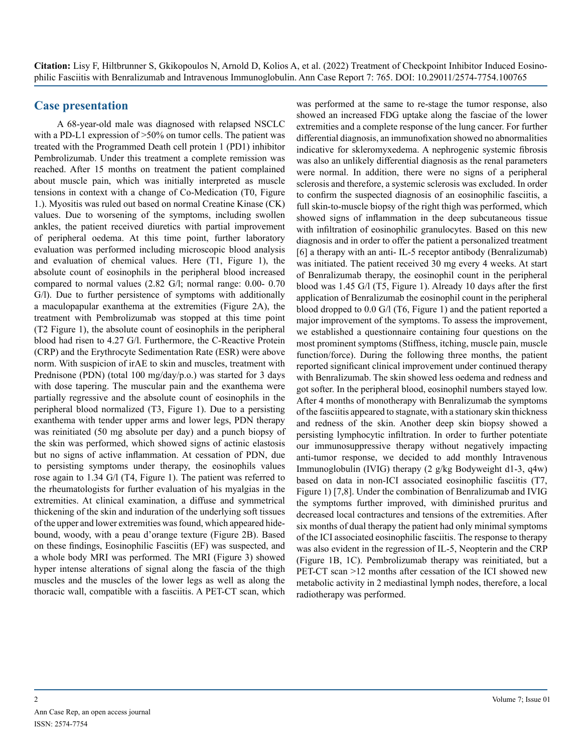#### **Case presentation**

A 68-year-old male was diagnosed with relapsed NSCLC with a PD-L1 expression of  $>50\%$  on tumor cells. The patient was treated with the Programmed Death cell protein 1 (PD1) inhibitor Pembrolizumab. Under this treatment a complete remission was reached. After 15 months on treatment the patient complained about muscle pain, which was initially interpreted as muscle tensions in context with a change of Co-Medication (T0, Figure 1.). Myositis was ruled out based on normal Creatine Kinase (CK) values. Due to worsening of the symptoms, including swollen ankles, the patient received diuretics with partial improvement of peripheral oedema. At this time point, further laboratory evaluation was performed including microscopic blood analysis and evaluation of chemical values. Here (T1, Figure 1), the absolute count of eosinophils in the peripheral blood increased compared to normal values (2.82 G/l; normal range: 0.00- 0.70 G/l). Due to further persistence of symptoms with additionally a maculopapular exanthema at the extremities (Figure 2A), the treatment with Pembrolizumab was stopped at this time point (T2 Figure 1), the absolute count of eosinophils in the peripheral blood had risen to 4.27 G/l. Furthermore, the C-Reactive Protein (CRP) and the Erythrocyte Sedimentation Rate (ESR) were above norm. With suspicion of irAE to skin and muscles, treatment with Prednisone (PDN) (total 100 mg/day/p.o.) was started for 3 days with dose tapering. The muscular pain and the exanthema were partially regressive and the absolute count of eosinophils in the peripheral blood normalized (T3, Figure 1). Due to a persisting exanthema with tender upper arms and lower legs, PDN therapy was reinitiated (50 mg absolute per day) and a punch biopsy of the skin was performed, which showed signs of actinic elastosis but no signs of active inflammation. At cessation of PDN, due to persisting symptoms under therapy, the eosinophils values rose again to 1.34 G/l (T4, Figure 1). The patient was referred to the rheumatologists for further evaluation of his myalgias in the extremities. At clinical examination, a diffuse and symmetrical thickening of the skin and induration of the underlying soft tissues of the upper and lower extremities was found, which appeared hidebound, woody, with a peau d'orange texture (Figure 2B). Based on these findings, Eosinophilic Fasciitis (EF) was suspected, and a whole body MRI was performed. The MRI (Figure 3) showed hyper intense alterations of signal along the fascia of the thigh muscles and the muscles of the lower legs as well as along the thoracic wall, compatible with a fasciitis. A PET-CT scan, which

was performed at the same to re-stage the tumor response, also showed an increased FDG uptake along the fasciae of the lower extremities and a complete response of the lung cancer. For further differential diagnosis, an immunofixation showed no abnormalities indicative for skleromyxedema. A nephrogenic systemic fibrosis was also an unlikely differential diagnosis as the renal parameters were normal. In addition, there were no signs of a peripheral sclerosis and therefore, a systemic sclerosis was excluded. In order to confirm the suspected diagnosis of an eosinophilic fasciitis, a full skin-to-muscle biopsy of the right thigh was performed, which showed signs of inflammation in the deep subcutaneous tissue with infiltration of eosinophilic granulocytes. Based on this new diagnosis and in order to offer the patient a personalized treatment [6] a therapy with an anti- IL-5 receptor antibody (Benralizumab) was initiated. The patient received 30 mg every 4 weeks. At start of Benralizumab therapy, the eosinophil count in the peripheral blood was 1.45 G/l (T5, Figure 1). Already 10 days after the first application of Benralizumab the eosinophil count in the peripheral blood dropped to 0.0 G/l (T6, Figure 1) and the patient reported a major improvement of the symptoms. To assess the improvement, we established a questionnaire containing four questions on the most prominent symptoms (Stiffness, itching, muscle pain, muscle function/force). During the following three months, the patient reported significant clinical improvement under continued therapy with Benralizumab. The skin showed less oedema and redness and got softer. In the peripheral blood, eosinophil numbers stayed low. After 4 months of monotherapy with Benralizumab the symptoms of the fasciitis appeared to stagnate, with a stationary skin thickness and redness of the skin. Another deep skin biopsy showed a persisting lymphocytic infiltration. In order to further potentiate our immunosuppressive therapy without negatively impacting anti-tumor response, we decided to add monthly Intravenous Immunoglobulin (IVIG) therapy (2 g/kg Bodyweight d1-3, q4w) based on data in non-ICI associated eosinophilic fasciitis (T7, Figure 1) [7,8]. Under the combination of Benralizumab and IVIG the symptoms further improved, with diminished pruritus and decreased local contractures and tensions of the extremities. After six months of dual therapy the patient had only minimal symptoms of the ICI associated eosinophilic fasciitis. The response to therapy was also evident in the regression of IL-5, Neopterin and the CRP (Figure 1B, 1C). Pembrolizumab therapy was reinitiated, but a PET-CT scan >12 months after cessation of the ICI showed new metabolic activity in 2 mediastinal lymph nodes, therefore, a local radiotherapy was performed.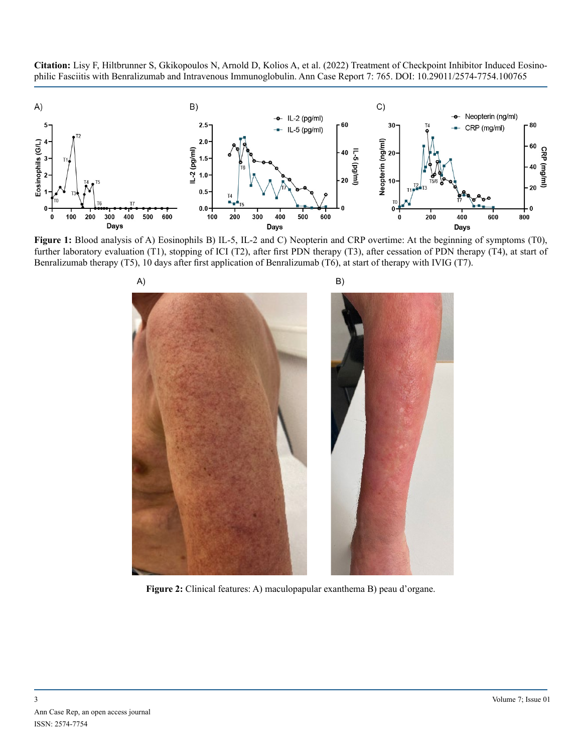**Citation:** Lisy F, Hiltbrunner S, Gkikopoulos N, Arnold D, Kolios A, et al. (2022) Treatment of Checkpoint Inhibitor Induced Eosinophilic Fasciitis with Benralizumab and Intravenous Immunoglobulin. Ann Case Report 7: 765. DOI: 10.29011/2574-7754.100765



**Figure 1:** Blood analysis of A) Eosinophils B) IL-5, IL-2 and C) Neopterin and CRP overtime: At the beginning of symptoms (T0), further laboratory evaluation (T1), stopping of ICI (T2), after first PDN therapy (T3), after cessation of PDN therapy (T4), at start of Benralizumab therapy (T5), 10 days after first application of Benralizumab (T6), at start of therapy with IVIG (T7).



**Figure 2:** Clinical features: A) maculopapular exanthema B) peau d'organe.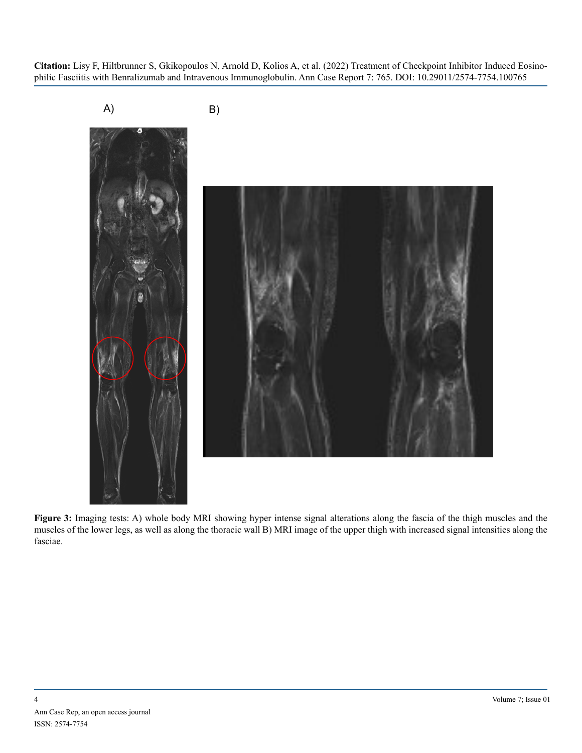

**Figure 3:** Imaging tests: A) whole body MRI showing hyper intense signal alterations along the fascia of the thigh muscles and the muscles of the lower legs, as well as along the thoracic wall B) MRI image of the upper thigh with increased signal intensities along the fasciae.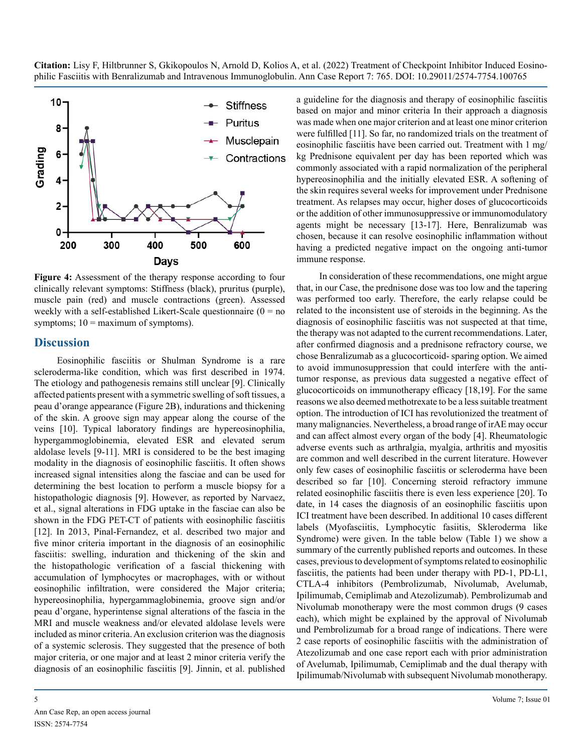

**Figure 4:** Assessment of the therapy response according to four clinically relevant symptoms: Stiffness (black), pruritus (purple), muscle pain (red) and muscle contractions (green). Assessed weekly with a self-established Likert-Scale questionnaire  $(0 = no$ symptoms;  $10 =$  maximum of symptoms).

#### **Discussion**

Eosinophilic fasciitis or Shulman Syndrome is a rare scleroderma-like condition, which was first described in 1974. The etiology and pathogenesis remains still unclear [9]. Clinically affected patients present with a symmetric swelling of soft tissues, a peau d'orange appearance (Figure 2B), indurations and thickening of the skin. A groove sign may appear along the course of the veins [10]. Typical laboratory findings are hypereosinophilia, hypergammoglobinemia, elevated ESR and elevated serum aldolase levels [9-11]. MRI is considered to be the best imaging modality in the diagnosis of eosinophilic fasciitis. It often shows increased signal intensities along the fasciae and can be used for determining the best location to perform a muscle biopsy for a histopathologic diagnosis [9]. However, as reported by Narvaez, et al., signal alterations in FDG uptake in the fasciae can also be shown in the FDG PET-CT of patients with eosinophilic fasciitis [12]. In 2013, Pinal-Fernandez, et al. described two major and five minor criteria important in the diagnosis of an eosinophilic fasciitis: swelling, induration and thickening of the skin and the histopathologic verification of a fascial thickening with accumulation of lymphocytes or macrophages, with or without eosinophilic infiltration, were considered the Major criteria; hypereosinophilia, hypergammaglobinemia, groove sign and/or peau d'organe, hyperintense signal alterations of the fascia in the MRI and muscle weakness and/or elevated aldolase levels were included as minor criteria. An exclusion criterion was the diagnosis of a systemic sclerosis. They suggested that the presence of both major criteria, or one major and at least 2 minor criteria verify the diagnosis of an eosinophilic fasciitis [9]. Jinnin, et al. published

a guideline for the diagnosis and therapy of eosinophilic fasciitis based on major and minor criteria In their approach a diagnosis was made when one major criterion and at least one minor criterion were fulfilled [11]. So far, no randomized trials on the treatment of eosinophilic fasciitis have been carried out. Treatment with 1 mg/ kg Prednisone equivalent per day has been reported which was commonly associated with a rapid normalization of the peripheral hypereosinophilia and the initially elevated ESR. A softening of the skin requires several weeks for improvement under Prednisone treatment. As relapses may occur, higher doses of glucocorticoids or the addition of other immunosuppressive or immunomodulatory agents might be necessary [13-17]. Here, Benralizumab was chosen, because it can resolve eosinophilic inflammation without having a predicted negative impact on the ongoing anti-tumor immune response.

In consideration of these recommendations, one might argue that, in our Case, the prednisone dose was too low and the tapering was performed too early. Therefore, the early relapse could be related to the inconsistent use of steroids in the beginning. As the diagnosis of eosinophilic fasciitis was not suspected at that time, the therapy was not adapted to the current recommendations. Later, after confirmed diagnosis and a prednisone refractory course, we chose Benralizumab as a glucocorticoid- sparing option. We aimed to avoid immunosuppression that could interfere with the antitumor response, as previous data suggested a negative effect of glucocorticoids on immunotherapy efficacy [18,19]. For the same reasons we also deemed methotrexate to be a less suitable treatment option. The introduction of ICI has revolutionized the treatment of many malignancies. Nevertheless, a broad range of irAE may occur and can affect almost every organ of the body [4]. Rheumatologic adverse events such as arthralgia, myalgia, arthritis and myositis are common and well described in the current literature. However only few cases of eosinophilic fasciitis or scleroderma have been described so far [10]. Concerning steroid refractory immune related eosinophilic fasciitis there is even less experience [20]. To date, in 14 cases the diagnosis of an eosinophilic fasciitis upon ICI treatment have been described. In additional 10 cases different labels (Myofasciitis, Lymphocytic fasiitis, Skleroderma like Syndrome) were given. In the table below (Table 1) we show a summary of the currently published reports and outcomes. In these cases, previous to development of symptoms related to eosinophilic fasciitis, the patients had been under therapy with PD-1, PD-L1, CTLA-4 inhibitors (Pembrolizumab, Nivolumab, Avelumab, Ipilimumab, Cemiplimab and Atezolizumab). Pembrolizumab and Nivolumab monotherapy were the most common drugs (9 cases each), which might be explained by the approval of Nivolumab und Pembrolizumab for a broad range of indications. There were 2 case reports of eosinophilic fasciitis with the administration of Atezolizumab and one case report each with prior administration of Avelumab, Ipilimumab, Cemiplimab and the dual therapy with Ipilimumab/Nivolumab with subsequent Nivolumab monotherapy.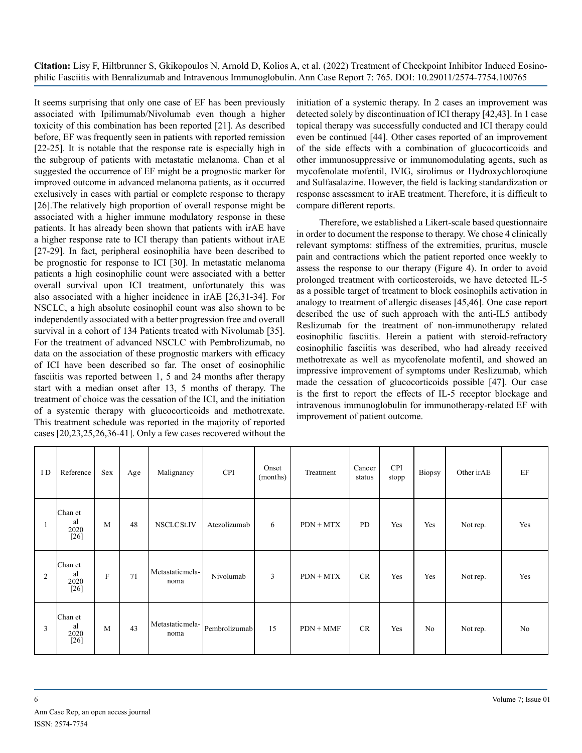It seems surprising that only one case of EF has been previously associated with Ipilimumab/Nivolumab even though a higher toxicity of this combination has been reported [21]. As described before, EF was frequently seen in patients with reported remission [22-25]. It is notable that the response rate is especially high in the subgroup of patients with metastatic melanoma. Chan et al suggested the occurrence of EF might be a prognostic marker for improved outcome in advanced melanoma patients, as it occurred exclusively in cases with partial or complete response to therapy [26].The relatively high proportion of overall response might be associated with a higher immune modulatory response in these patients. It has already been shown that patients with irAE have a higher response rate to ICI therapy than patients without irAE [27-29]. In fact, peripheral eosinophilia have been described to be prognostic for response to ICI [30]. In metastatic melanoma patients a high eosinophilic count were associated with a better overall survival upon ICI treatment, unfortunately this was also associated with a higher incidence in irAE [26,31-34]. For NSCLC, a high absolute eosinophil count was also shown to be independently associated with a better progression free and overall survival in a cohort of 134 Patients treated with Nivolumab [35]. For the treatment of advanced NSCLC with Pembrolizumab, no data on the association of these prognostic markers with efficacy of ICI have been described so far. The onset of eosinophilic fasciitis was reported between 1, 5 and 24 months after therapy start with a median onset after 13, 5 months of therapy. The treatment of choice was the cessation of the ICI, and the initiation of a systemic therapy with glucocorticoids and methotrexate. This treatment schedule was reported in the majority of reported cases [20,23,25,26,36-41]. Only a few cases recovered without the initiation of a systemic therapy. In 2 cases an improvement was detected solely by discontinuation of ICI therapy [42,43]. In 1 case topical therapy was successfully conducted and ICI therapy could even be continued [44]. Other cases reported of an improvement of the side effects with a combination of glucocorticoids and other immunosuppressive or immunomodulating agents, such as mycofenolate mofentil, IVIG, sirolimus or Hydroxychloroqiune and Sulfasalazine. However, the field is lacking standardization or response assessment to irAE treatment. Therefore, it is difficult to compare different reports.

Therefore, we established a Likert-scale based questionnaire in order to document the response to therapy. We chose 4 clinically relevant symptoms: stiffness of the extremities, pruritus, muscle pain and contractions which the patient reported once weekly to assess the response to our therapy (Figure 4). In order to avoid prolonged treatment with corticosteroids, we have detected IL-5 as a possible target of treatment to block eosinophils activation in analogy to treatment of allergic diseases [45,46]. One case report described the use of such approach with the anti-IL5 antibody Reslizumab for the treatment of non-immunotherapy related eosinophilic fasciitis. Herein a patient with steroid-refractory eosinophilic fasciitis was described, who had already received methotrexate as well as mycofenolate mofentil, and showed an impressive improvement of symptoms under Reslizumab, which made the cessation of glucocorticoids possible [47]. Our case is the first to report the effects of IL-5 receptor blockage and intravenous immunoglobulin for immunotherapy-related EF with improvement of patient outcome.

| I D | Reference                         | Sex         | Age | Malignancy               | <b>CPI</b>    | Onset<br>(months) | Treatment   | Cancer<br>status | <b>CPI</b><br>stopp | Biopsy         | Other irAE | EF             |
|-----|-----------------------------------|-------------|-----|--------------------------|---------------|-------------------|-------------|------------------|---------------------|----------------|------------|----------------|
|     | Chan et<br>al<br>2020<br>$[26]$   | M           | 48  | NSCLCSt.IV               | Atezolizumab  | 6                 | $PDN + MTX$ | PD               | Yes                 | Yes            | Not rep.   | Yes            |
| 2   | Chan et<br>al<br>2020<br>$[26]$   | $\mathbf F$ | 71  | Metastatic mela-<br>noma | Nivolumab     | 3                 | $PDN + MTX$ | CR               | Yes                 | Yes            | Not rep.   | Yes            |
| 3   | Chan et<br>al<br>$^{2020}_{[26]}$ | M           | 43  | Metastatic mela-<br>noma | Pembrolizumab | 15                | $PDN + MMF$ | CR               | Yes                 | N <sub>0</sub> | Not rep.   | N <sub>0</sub> |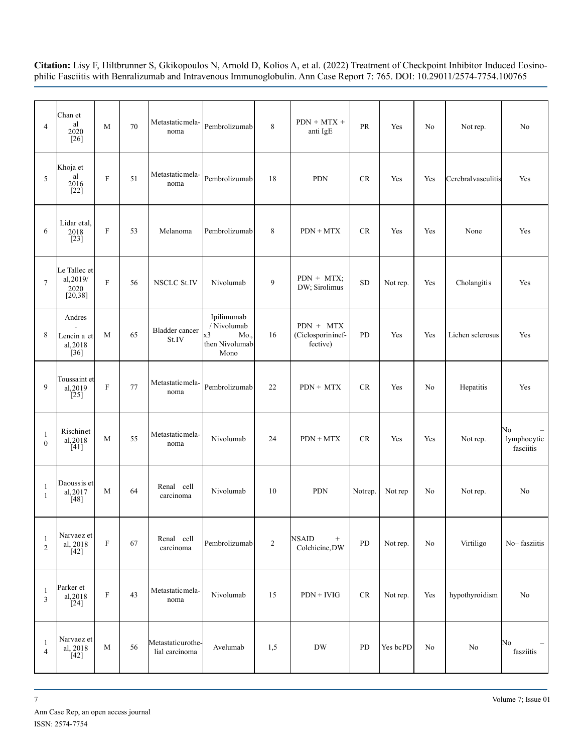| $\overline{4}$                 | Chan et<br>al<br>2020<br>$\lceil 26 \rceil$   | M                         | $70\,$ | Metastatic mela-<br>noma            | Pembrolizumab                                                    | 8              | $PDN + MTX +$<br>anti IgE                           | PR        | Yes      | No  | Not rep.            | N <sub>o</sub>                 |
|--------------------------------|-----------------------------------------------|---------------------------|--------|-------------------------------------|------------------------------------------------------------------|----------------|-----------------------------------------------------|-----------|----------|-----|---------------------|--------------------------------|
| 5                              | Khoja et<br>al<br>2016<br>$[22]$              | $\mathbf F$               | 51     | Metastatic mela-<br>noma            | Pembrolizumab                                                    | 18             | <b>PDN</b>                                          | <b>CR</b> | Yes      | Yes | Cerebral vasculitis | Yes                            |
| 6                              | Lidar etal,<br>2018<br>$[23]$                 | $\boldsymbol{\mathrm{F}}$ | 53     | Melanoma                            | Pembrolizumab                                                    | 8              | $PDN + MTX$                                         | CR        | Yes      | Yes | None                | Yes                            |
| $\tau$                         | Le Tallec et<br>al, 2019/<br>2020<br>[20, 38] | ${\bf F}$                 | 56     | <b>NSCLC St.IV</b>                  | Nivolumab                                                        | 9              | $PDN + MTX;$<br>DW; Sirolimus                       | <b>SD</b> | Not rep. | Yes | Cholangitis         | Yes                            |
| 8                              | Andres<br>Lencin a et<br>al, 2018<br>$[36]$   | M                         | 65     | <b>Bladder</b> cancer<br>St.IV      | Ipilimumab<br>/ Nivolumab<br>x3<br>Mo.<br>then Nivolumab<br>Mono | 16             | PDN + MTX<br>(Ciclosporininef-<br>fective)          | PD        | Yes      | Yes | Lichen sclerosus    | Yes                            |
| 9                              | Toussaint et<br>al, 2019<br>[25]              | ${\bf F}$                 | 77     | Metastatic mela-<br>noma            | Pembrolizumab                                                    | 22             | $PDN + MTX$                                         | CR        | Yes      | No  | Hepatitis           | Yes                            |
| -1<br>$\mathbf{0}$             | Rischinet<br>al, 2018<br>[41]                 | M                         | 55     | Metastatic mela-<br>noma            | Nivolumab                                                        | 24             | $PDN + MTX$                                         | <b>CR</b> | Yes      | Yes | Not rep.            | No<br>lymphocytic<br>fasciitis |
| $\mathbf{1}$<br>$\mathbf{1}$   | Daoussis et<br>al, 2017<br>[48]               | M                         | 64     | Renal cell<br>carcinoma             | Nivolumab                                                        | 10             | <b>PDN</b>                                          | Notrep.   | Not rep  | No  | Not rep.            | No                             |
| $\mathbf{1}$<br>$\overline{2}$ | Narvaez et<br>al, 2018<br>$\overline{[42]}$   | ${\bf F}$                 | 67     | Renal cell<br>carcinoma             | Pembrolizumab                                                    | $\overline{c}$ | <b>NSAID</b><br>$\qquad \qquad +$<br>Colchicine, DW | PD        | Not rep. | No  | Virtiligo           | No-fasziitis                   |
| $\mathbf{1}$<br>$\mathfrak{Z}$ | Parker et<br>al, 2018<br>$[24]$               | $\mathbf F$               | 43     | Metastatic mela-<br>noma            | Nivolumab                                                        | 15             | $PDN + IVIG$                                        | <b>CR</b> | Not rep. | Yes | hypothyroidism      | N <sub>o</sub>                 |
| $\mathbf{1}$<br>$\overline{4}$ | Narvaez et<br>al, 2018<br>$[42]$              | M                         | 56     | Metastaticurothe-<br>lial carcinoma | Avelumab                                                         | 1,5            | <b>DW</b>                                           | PD        | Yes bcPD | No  | N <sub>0</sub>      | No<br>fasziitis                |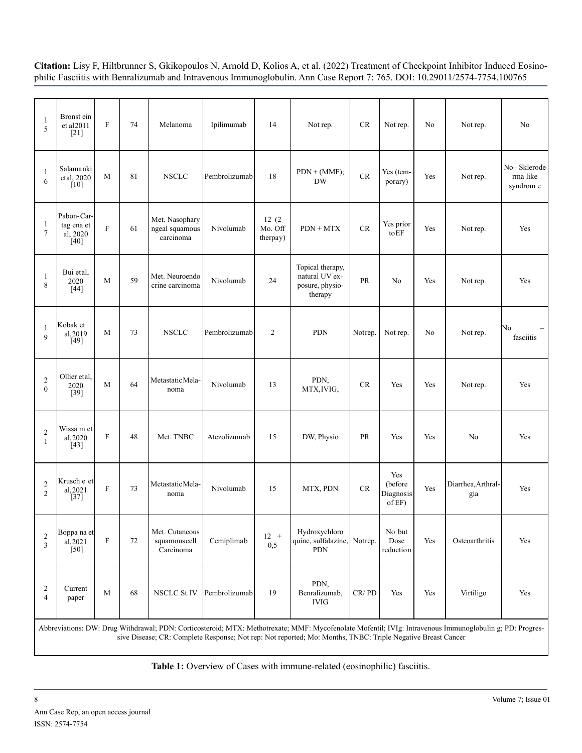| $\mathbf{1}$<br>5                       | Bronst ein<br>et al 2011<br>[21]                                                                                                                                                                                                                                        | ${\bf F}$                 | 74 | Melanoma                                      | Ipilimumab    | 14                           | Not rep.                                                         | <b>CR</b> | Not rep.                              | No  | Not rep.                  | No                                   |
|-----------------------------------------|-------------------------------------------------------------------------------------------------------------------------------------------------------------------------------------------------------------------------------------------------------------------------|---------------------------|----|-----------------------------------------------|---------------|------------------------------|------------------------------------------------------------------|-----------|---------------------------------------|-----|---------------------------|--------------------------------------|
| $\mathbf{1}$<br>6                       | Salamanki<br>etal, 2020<br>$\lceil 10 \rceil$                                                                                                                                                                                                                           | M                         | 81 | <b>NSCLC</b>                                  | Pembrolizumab | 18                           | $PDN + (MMF);$<br><b>DW</b>                                      | CR        | Yes (tem-<br>porary)                  | Yes | Not rep.                  | No-Sklerode<br>rma like<br>syndrom e |
| $\mathbf{1}$<br>$\tau$                  | Pabon-Car-<br>tag ena et<br>al, 2020<br>[40]                                                                                                                                                                                                                            | F                         | 61 | Met. Nasophary<br>ngeal squamous<br>carcinoma | Nivolumab     | 12(2)<br>Mo. Off<br>therpay) | $PDN + MTX$                                                      | CR        | Yes prior<br>toEF                     | Yes | Not rep.                  | Yes                                  |
| $\mathbf{1}$<br>8                       | Bui etal,<br>2020<br>$[44]$                                                                                                                                                                                                                                             | M                         | 59 | Met. Neuroendo<br>crine carcinoma             | Nivolumab     | 24                           | Topical therapy,<br>natural UV ex-<br>posure, physio-<br>therapy | <b>PR</b> | N <sub>0</sub>                        | Yes | Not rep.                  | Yes                                  |
| $\mathbf{1}$<br>$\mathbf{Q}$            | Kobak et<br>al, 2019<br>[49]                                                                                                                                                                                                                                            | M                         | 73 | <b>NSCLC</b>                                  | Pembrolizumab | $\overline{2}$               | <b>PDN</b>                                                       | Notrep.   | Not rep.                              | No  | Not rep.                  | No<br>fasciitis                      |
| $\overline{2}$<br>$\overline{0}$        | Ollier etal.<br>2020<br>$[39]$                                                                                                                                                                                                                                          | M                         | 64 | Metastatic Mela-<br>noma                      | Nivolumab     | 13                           | PDN,<br>MTX, IVIG,                                               | <b>CR</b> | Yes                                   | Yes | Not rep.                  | Yes                                  |
| $\overline{\mathbf{c}}$<br>$\mathbf{1}$ | Wissa m et<br>al, 2020<br>[43]                                                                                                                                                                                                                                          | $\mathbf F$               | 48 | Met. TNBC                                     | Atezolizumab  | 15                           | DW, Physio                                                       | PR        | Yes                                   | Yes | No                        | Yes                                  |
| $\overline{2}$<br>$\overline{2}$        | Krusch e et <br>al, 2021<br>$\left[37\right]$                                                                                                                                                                                                                           | $\mathbf{F}$              | 73 | Metastatic Mela-<br>noma                      | Nivolumab     | 15                           | MTX, PDN                                                         | CR        | Yes<br>(before<br>Diagnosis<br>of EF) | Yes | Diarrhea, Arthral-<br>gia | Yes                                  |
| $\sqrt{2}$<br>$\overline{3}$            | Boppa na et<br>al, 2021<br>[50]                                                                                                                                                                                                                                         | $\boldsymbol{\mathrm{F}}$ | 72 | Met. Cutaneous<br>squamouscell<br>Carcinoma   | Cemiplimab    | $12 +$<br>0,5                | Hydroxychloro<br>quine, sulfalazine, Notrep.<br><b>PDN</b>       |           | No but<br>Dose<br>reduction           | Yes | Osteoarthritis            | Yes                                  |
| $\overline{c}$<br>$\overline{4}$        | Current<br>paper                                                                                                                                                                                                                                                        | M                         | 68 | <b>NSCLC St.IV</b>                            | Pembrolizumab | 19                           | PDN,<br>Benralizumab,<br><b>IVIG</b>                             | CR/PD     | Yes                                   | Yes | Virtiligo                 | Yes                                  |
|                                         | Abbreviations: DW: Drug Withdrawal; PDN: Corticosteroid; MTX: Methotrexate; MMF: Mycofenolate Mofentil; IVIg: Intravenous Immunoglobulin g; PD: Progres-<br>sive Disease; CR: Complete Response; Not rep: Not reported; Mo: Months, TNBC: Triple Negative Breast Cancer |                           |    |                                               |               |                              |                                                                  |           |                                       |     |                           |                                      |

**Table 1:** Overview of Cases with immune-related (eosinophilic) fasciitis.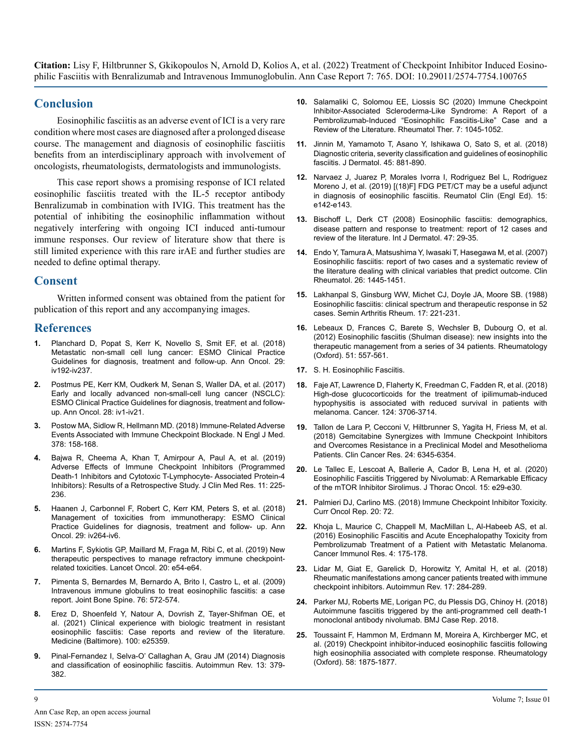#### **Conclusion**

Eosinophilic fasciitis as an adverse event of ICI is a very rare condition where most cases are diagnosed after a prolonged disease course. The management and diagnosis of eosinophilic fasciitis benefits from an interdisciplinary approach with involvement of oncologists, rheumatologists, dermatologists and immunologists.

This case report shows a promising response of ICI related eosinophilic fasciitis treated with the IL-5 receptor antibody Benralizumab in combination with IVIG. This treatment has the potential of inhibiting the eosinophilic inflammation without negatively interfering with ongoing ICI induced anti-tumour immune responses. Our review of literature show that there is still limited experience with this rare irAE and further studies are needed to define optimal therapy.

#### **Consent**

Written informed consent was obtained from the patient for publication of this report and any accompanying images.

#### **References**

- **1.** [Planchard D, Popat S, Kerr K, Novello S, Smit EF, et al. \(2018\)](https://pubmed.ncbi.nlm.nih.gov/30285222/)  [Metastatic non-small cell lung cancer: ESMO Clinical Practice](https://pubmed.ncbi.nlm.nih.gov/30285222/)  [Guidelines for diagnosis, treatment and follow-up. Ann Oncol. 29:](https://pubmed.ncbi.nlm.nih.gov/30285222/)  [iv192-iv237.](https://pubmed.ncbi.nlm.nih.gov/30285222/)
- **2.** [Postmus PE, Kerr KM, Oudkerk M, Senan S, Waller DA, et al. \(2017\)](https://pubmed.ncbi.nlm.nih.gov/28881918/)  [Early and locally advanced non-small-cell lung cancer \(NSCLC\):](https://pubmed.ncbi.nlm.nih.gov/28881918/)  [ESMO Clinical Practice Guidelines for diagnosis, treatment and follow](https://pubmed.ncbi.nlm.nih.gov/28881918/)[up. Ann Oncol. 28: iv1-iv21.](https://pubmed.ncbi.nlm.nih.gov/28881918/)
- **3.** [Postow MA, Sidlow R, Hellmann MD. \(2018\) Immune-Related Adverse](https://pubmed.ncbi.nlm.nih.gov/29320654/)  [Events Associated with Immune Checkpoint Blockade. N Engl J Med.](https://pubmed.ncbi.nlm.nih.gov/29320654/)  [378: 158-168.](https://pubmed.ncbi.nlm.nih.gov/29320654/)
- **4.** [Bajwa R, Cheema A, Khan T, Amirpour A, Paul A, et al. \(2019\)](https://pubmed.ncbi.nlm.nih.gov/30937112/)  [Adverse Effects of Immune Checkpoint Inhibitors \(Programmed](https://pubmed.ncbi.nlm.nih.gov/30937112/)  [Death-1 Inhibitors and Cytotoxic T-Lymphocyte- Associated Protein-4](https://pubmed.ncbi.nlm.nih.gov/30937112/)  [Inhibitors\): Results of a Retrospective Study. J Clin Med Res. 11: 225-](https://pubmed.ncbi.nlm.nih.gov/30937112/) [236.](https://pubmed.ncbi.nlm.nih.gov/30937112/)
- **5.** [Haanen J, Carbonnel F, Robert C, Kerr KM, Peters S, et al. \(2018\)](https://pubmed.ncbi.nlm.nih.gov/28881921/)  [Management of toxicities from immunotherapy: ESMO Clinical](https://pubmed.ncbi.nlm.nih.gov/28881921/)  [Practice Guidelines for diagnosis, treatment and follow- up. Ann](https://pubmed.ncbi.nlm.nih.gov/28881921/)  [Oncol. 29: iv264-iv6.](https://pubmed.ncbi.nlm.nih.gov/28881921/)
- **6.** [Martins F, Sykiotis GP, Maillard M, Fraga M, Ribi C, et al. \(2019\) New](https://pubmed.ncbi.nlm.nih.gov/30614479/)  [therapeutic perspectives to manage refractory immune checkpoint](https://pubmed.ncbi.nlm.nih.gov/30614479/)[related toxicities. Lancet Oncol. 20: e54-e64.](https://pubmed.ncbi.nlm.nih.gov/30614479/)
- **7.** [Pimenta S, Bernardes M, Bernardo A, Brito I, Castro L, et al. \(2009\)](https://www.ncbi.nlm.nih.gov/pmc/articles/PMC5506513/)  [Intravenous immune globulins to treat eosinophilic fasciitis: a case](https://www.ncbi.nlm.nih.gov/pmc/articles/PMC5506513/)  [report. Joint Bone Spine. 76: 572-574.](https://www.ncbi.nlm.nih.gov/pmc/articles/PMC5506513/)
- **8.** [Erez D, Shoenfeld Y, Natour A, Dovrish Z, Tayer-Shifman OE, et](https://pubmed.ncbi.nlm.nih.gov/33787639/)  [al. \(2021\) Clinical experience with biologic treatment in resistant](https://pubmed.ncbi.nlm.nih.gov/33787639/)  [eosinophilic fasciitis: Case reports and review of the literature.](https://pubmed.ncbi.nlm.nih.gov/33787639/) [Medicine \(Baltimore\). 100: e25359.](https://pubmed.ncbi.nlm.nih.gov/33787639/)
- **9.** [Pinal-Fernandez I, Selva-O' Callaghan A, Grau JM \(2014\) Diagnosis](https://pubmed.ncbi.nlm.nih.gov/24424187/)  [and classification of eosinophilic fasciitis. Autoimmun Rev. 13: 379-](https://pubmed.ncbi.nlm.nih.gov/24424187/) [382.](https://pubmed.ncbi.nlm.nih.gov/24424187/)
- **10.** [Salamaliki C, Solomou EE, Liossis SC \(2020\) Immune Checkpoint](https://europepmc.org/article/med/30103042)  [Inhibitor-Associated Scleroderma-Like Syndrome: A Report of a](https://europepmc.org/article/med/30103042) [Pembrolizumab-Induced "Eosinophilic Fasciitis-Like" Case and a](https://europepmc.org/article/med/30103042)  [Review of the Literature. Rheumatol Ther. 7: 1045-1052.](https://europepmc.org/article/med/30103042)
- **11.** [Jinnin M, Yamamoto T, Asano Y, Ishikawa O, Sato S, et al. \(2018\)](https://pubmed.ncbi.nlm.nih.gov/29235676/)  [Diagnostic criteria, severity classification and guidelines of eosinophilic](https://pubmed.ncbi.nlm.nih.gov/29235676/)  [fasciitis. J Dermatol. 45: 881-890.](https://pubmed.ncbi.nlm.nih.gov/29235676/)
- **12.** [Narvaez J, Juarez P, Morales Ivorra I, Rodriguez Bel L, Rodriguez](https://www.reumatologiaclinica.org/en-18f-fdg-pet-ct-may-be-articulo-S2173574319301534)  [Moreno J, et al. \(2019\) \[\(18\)F\] FDG PET/CT may be a useful adjunct](https://www.reumatologiaclinica.org/en-18f-fdg-pet-ct-may-be-articulo-S2173574319301534)  [in diagnosis of eosinophilic fasciitis. Reumatol Clin \(Engl Ed\). 15:](https://www.reumatologiaclinica.org/en-18f-fdg-pet-ct-may-be-articulo-S2173574319301534)  [e142-e143.](https://www.reumatologiaclinica.org/en-18f-fdg-pet-ct-may-be-articulo-S2173574319301534)
- **13.** [Bischoff L, Derk CT \(2008\) Eosinophilic fasciitis: demographics,](https://pubmed.ncbi.nlm.nih.gov/18173597/)  [disease pattern and response to treatment: report of 12 cases and](https://pubmed.ncbi.nlm.nih.gov/18173597/)  [review of the literature. Int J Dermatol. 47: 29-35.](https://pubmed.ncbi.nlm.nih.gov/18173597/)
- **14.** [Endo Y, Tamura A, Matsushima Y, Iwasaki T, Hasegawa M, et al. \(2007\)](https://pubmed.ncbi.nlm.nih.gov/17345001/)  [Eosinophilic fasciitis: report of two cases and a systematic review of](https://pubmed.ncbi.nlm.nih.gov/17345001/)  [the literature dealing with clinical variables that predict outcome. Clin](https://pubmed.ncbi.nlm.nih.gov/17345001/)  [Rheumatol. 26: 1445-1451.](https://pubmed.ncbi.nlm.nih.gov/17345001/)
- **15.** [Lakhanpal S, Ginsburg WW, Michet CJ, Doyle JA, Moore SB. \(1988\)](https://pubmed.ncbi.nlm.nih.gov/3232080/)  [Eosinophilic fasciitis: clinical spectrum and therapeutic response in 52](https://pubmed.ncbi.nlm.nih.gov/3232080/)  [cases. Semin Arthritis Rheum. 17: 221-231.](https://pubmed.ncbi.nlm.nih.gov/3232080/)
- **16.** [Lebeaux D, Frances C, Barete S, Wechsler B, Dubourg O, et al.](https://pubmed.ncbi.nlm.nih.gov/22120602/)  [\(2012\) Eosinophilic fasciitis \(Shulman disease\): new insights into the](https://pubmed.ncbi.nlm.nih.gov/22120602/)  [therapeutic management from a series of 34 patients. Rheumatology](https://pubmed.ncbi.nlm.nih.gov/22120602/)  [\(Oxford\). 51: 557-561.](https://pubmed.ncbi.nlm.nih.gov/22120602/)
- **17.** [S. H. Eosinophilic Fasciitis.](https://www.uptodate.com/contents/eosinophilic-fasciitis)
- **18.** [Faje AT, Lawrence D, Flaherty K, Freedman C, Fadden R, et al. \(2018\)](https://pubmed.ncbi.nlm.nih.gov/29975414/)  [High-dose glucocorticoids for the treatment of ipilimumab-induced](https://pubmed.ncbi.nlm.nih.gov/29975414/)  [hypophysitis is associated with reduced survival in patients with](https://pubmed.ncbi.nlm.nih.gov/29975414/)  [melanoma. Cancer. 124: 3706-3714.](https://pubmed.ncbi.nlm.nih.gov/29975414/)
- **19.** [Tallon de Lara P, Cecconi V, Hiltbrunner S, Yagita H, Friess M, et al.](https://pubmed.ncbi.nlm.nih.gov/30154226/)  [\(2018\) Gemcitabine Synergizes with Immune Checkpoint Inhibitors](https://pubmed.ncbi.nlm.nih.gov/30154226/)  [and Overcomes Resistance in a Preclinical Model and Mesothelioma](https://pubmed.ncbi.nlm.nih.gov/30154226/)  [Patients. Clin Cancer Res. 24: 6345-6354.](https://pubmed.ncbi.nlm.nih.gov/30154226/)
- **20.** [Le Tallec E, Lescoat A, Ballerie A, Cador B, Lena H, et al. \(2020\)](https://pubmed.ncbi.nlm.nih.gov/32127188/)  [Eosinophilic Fasciitis Triggered by Nivolumab: A Remarkable Efficacy](https://pubmed.ncbi.nlm.nih.gov/32127188/)  [of the mTOR Inhibitor Sirolimus. J Thorac Oncol. 15: e29-e30.](https://pubmed.ncbi.nlm.nih.gov/32127188/)
- **21.** [Palmieri DJ, Carlino MS. \(2018\) Immune Checkpoint Inhibitor Toxicity.](https://pubmed.ncbi.nlm.nih.gov/30066230/) [Curr Oncol Rep. 20: 72.](https://pubmed.ncbi.nlm.nih.gov/30066230/)
- **22.** [Khoja L, Maurice C, Chappell M, MacMillan L, Al-Habeeb AS, et al.](https://pubmed.ncbi.nlm.nih.gov/26822024/)  [\(2016\) Eosinophilic Fasciitis and Acute Encephalopathy Toxicity from](https://pubmed.ncbi.nlm.nih.gov/26822024/)  [Pembrolizumab Treatment of a Patient with Metastatic Melanoma.](https://pubmed.ncbi.nlm.nih.gov/26822024/)  [Cancer Immunol Res. 4: 175-178.](https://pubmed.ncbi.nlm.nih.gov/26822024/)
- **23.** [Lidar M, Giat E, Garelick D, Horowitz Y, Amital H, et al. \(2018\)](https://pubmed.ncbi.nlm.nih.gov/29341936/)  [Rheumatic manifestations among cancer patients treated with immune](https://pubmed.ncbi.nlm.nih.gov/29341936/)  [checkpoint inhibitors. Autoimmun Rev. 17: 284-289.](https://pubmed.ncbi.nlm.nih.gov/29341936/)
- **24.** [Parker MJ, Roberts ME, Lorigan PC, du Plessis DG, Chinoy H. \(2018\)](https://pubmed.ncbi.nlm.nih.gov/29437773/)  [Autoimmune fasciitis triggered by the anti-programmed cell death-1](https://pubmed.ncbi.nlm.nih.gov/29437773/)  [monoclonal antibody nivolumab. BMJ Case Rep. 2018.](https://pubmed.ncbi.nlm.nih.gov/29437773/)
- **25.** [Toussaint F, Hammon M, Erdmann M, Moreira A, Kirchberger MC, et](https://www.ncbi.nlm.nih.gov/pmc/articles/PMC7011633/)  [al. \(2019\) Checkpoint inhibitor-induced eosinophilic fasciitis following](https://www.ncbi.nlm.nih.gov/pmc/articles/PMC7011633/)  [high eosinophilia associated with complete response. Rheumatology](https://www.ncbi.nlm.nih.gov/pmc/articles/PMC7011633/)  [\(Oxford\). 58: 1875-1877.](https://www.ncbi.nlm.nih.gov/pmc/articles/PMC7011633/)